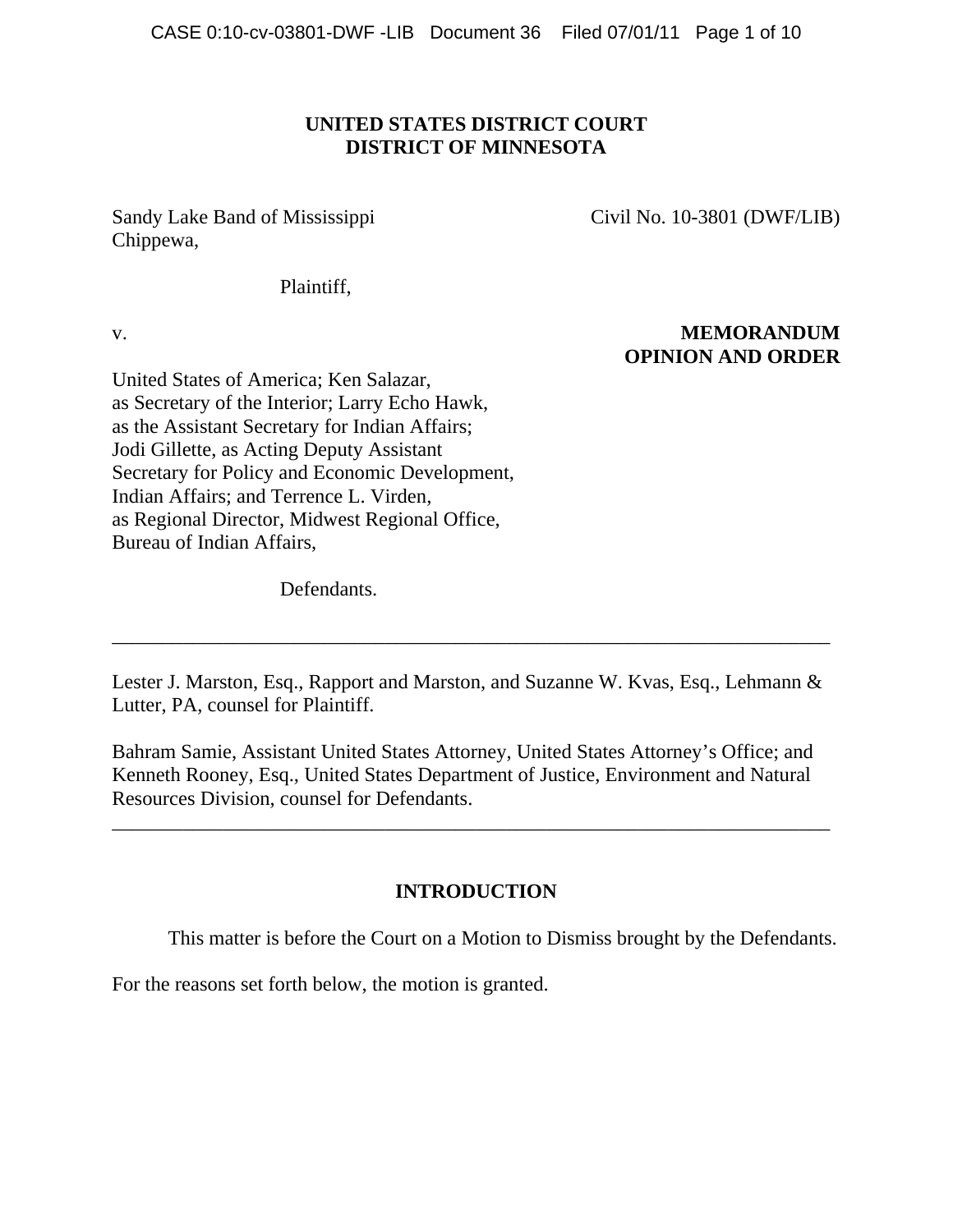# **UNITED STATES DISTRICT COURT DISTRICT OF MINNESOTA**

Sandy Lake Band of Mississippi Civil No. 10-3801 (DWF/LIB) Chippewa,

Plaintiff,

# v. **MEMORANDUM OPINION AND ORDER**

United States of America; Ken Salazar, as Secretary of the Interior; Larry Echo Hawk, as the Assistant Secretary for Indian Affairs; Jodi Gillette, as Acting Deputy Assistant Secretary for Policy and Economic Development, Indian Affairs; and Terrence L. Virden, as Regional Director, Midwest Regional Office, Bureau of Indian Affairs,

Defendants.

Lester J. Marston, Esq., Rapport and Marston, and Suzanne W. Kvas, Esq., Lehmann & Lutter, PA, counsel for Plaintiff.

\_\_\_\_\_\_\_\_\_\_\_\_\_\_\_\_\_\_\_\_\_\_\_\_\_\_\_\_\_\_\_\_\_\_\_\_\_\_\_\_\_\_\_\_\_\_\_\_\_\_\_\_\_\_\_\_\_\_\_\_\_\_\_\_\_\_\_\_\_\_\_

Bahram Samie, Assistant United States Attorney, United States Attorney's Office; and Kenneth Rooney, Esq., United States Department of Justice, Environment and Natural Resources Division, counsel for Defendants.

\_\_\_\_\_\_\_\_\_\_\_\_\_\_\_\_\_\_\_\_\_\_\_\_\_\_\_\_\_\_\_\_\_\_\_\_\_\_\_\_\_\_\_\_\_\_\_\_\_\_\_\_\_\_\_\_\_\_\_\_\_\_\_\_\_\_\_\_\_\_\_

# **INTRODUCTION**

This matter is before the Court on a Motion to Dismiss brought by the Defendants.

For the reasons set forth below, the motion is granted.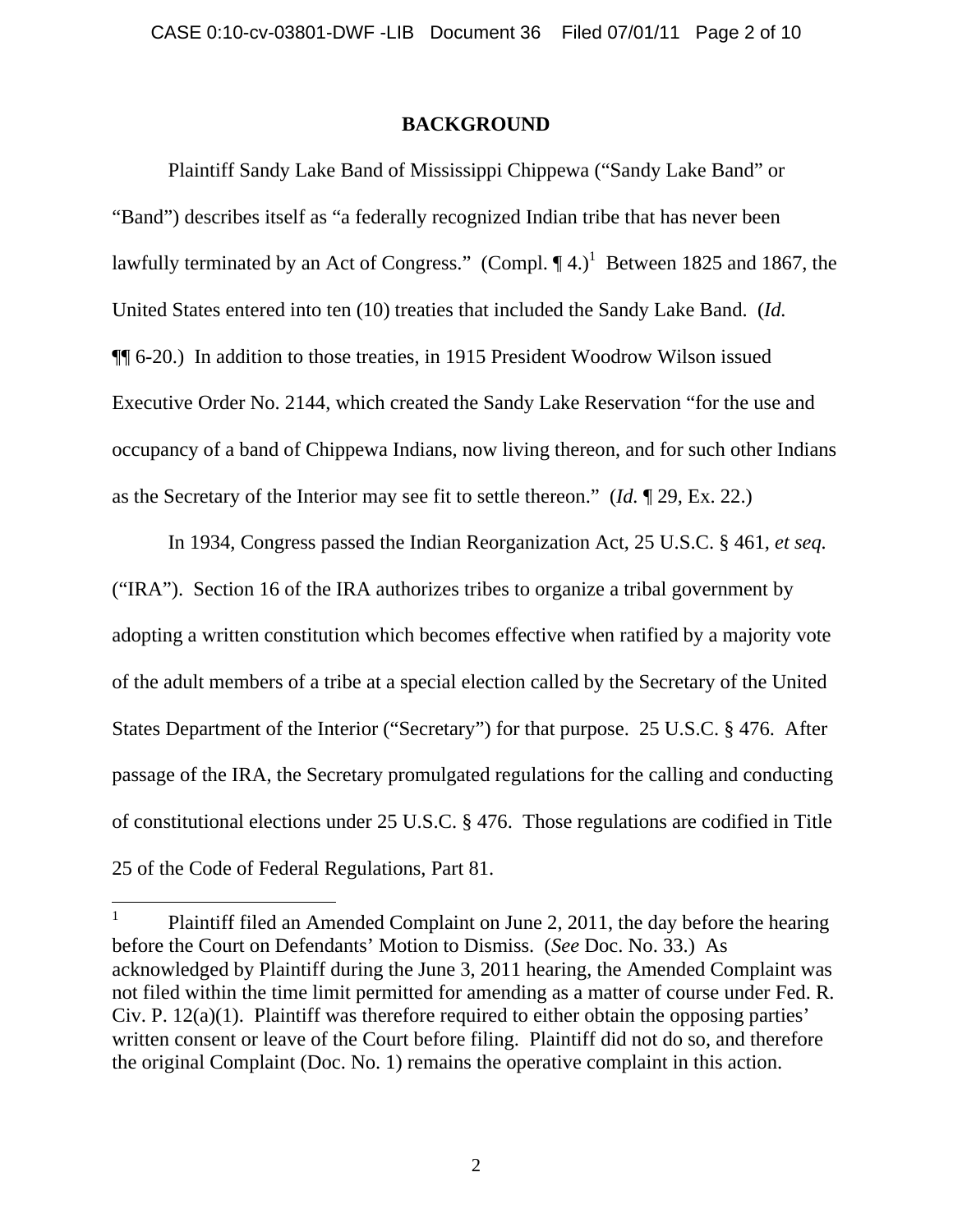## **BACKGROUND**

 Plaintiff Sandy Lake Band of Mississippi Chippewa ("Sandy Lake Band" or "Band") describes itself as "a federally recognized Indian tribe that has never been lawfully terminated by an Act of Congress." (Compl.  $\P$ 4.)<sup>1</sup> Between 1825 and 1867, the United States entered into ten (10) treaties that included the Sandy Lake Band. (*Id.* ¶¶ 6-20.) In addition to those treaties, in 1915 President Woodrow Wilson issued Executive Order No. 2144, which created the Sandy Lake Reservation "for the use and occupancy of a band of Chippewa Indians, now living thereon, and for such other Indians as the Secretary of the Interior may see fit to settle thereon." (*Id.* ¶ 29, Ex. 22.)

In 1934, Congress passed the Indian Reorganization Act, 25 U.S.C. § 461, *et seq.* ("IRA"). Section 16 of the IRA authorizes tribes to organize a tribal government by adopting a written constitution which becomes effective when ratified by a majority vote of the adult members of a tribe at a special election called by the Secretary of the United States Department of the Interior ("Secretary") for that purpose. 25 U.S.C. § 476. After passage of the IRA, the Secretary promulgated regulations for the calling and conducting of constitutional elections under 25 U.S.C. § 476. Those regulations are codified in Title 25 of the Code of Federal Regulations, Part 81.

 $\overline{a}$ 

<sup>1</sup> Plaintiff filed an Amended Complaint on June 2, 2011, the day before the hearing before the Court on Defendants' Motion to Dismiss. (*See* Doc. No. 33.) As acknowledged by Plaintiff during the June 3, 2011 hearing, the Amended Complaint was not filed within the time limit permitted for amending as a matter of course under Fed. R. Civ. P. 12(a)(1). Plaintiff was therefore required to either obtain the opposing parties' written consent or leave of the Court before filing. Plaintiff did not do so, and therefore the original Complaint (Doc. No. 1) remains the operative complaint in this action.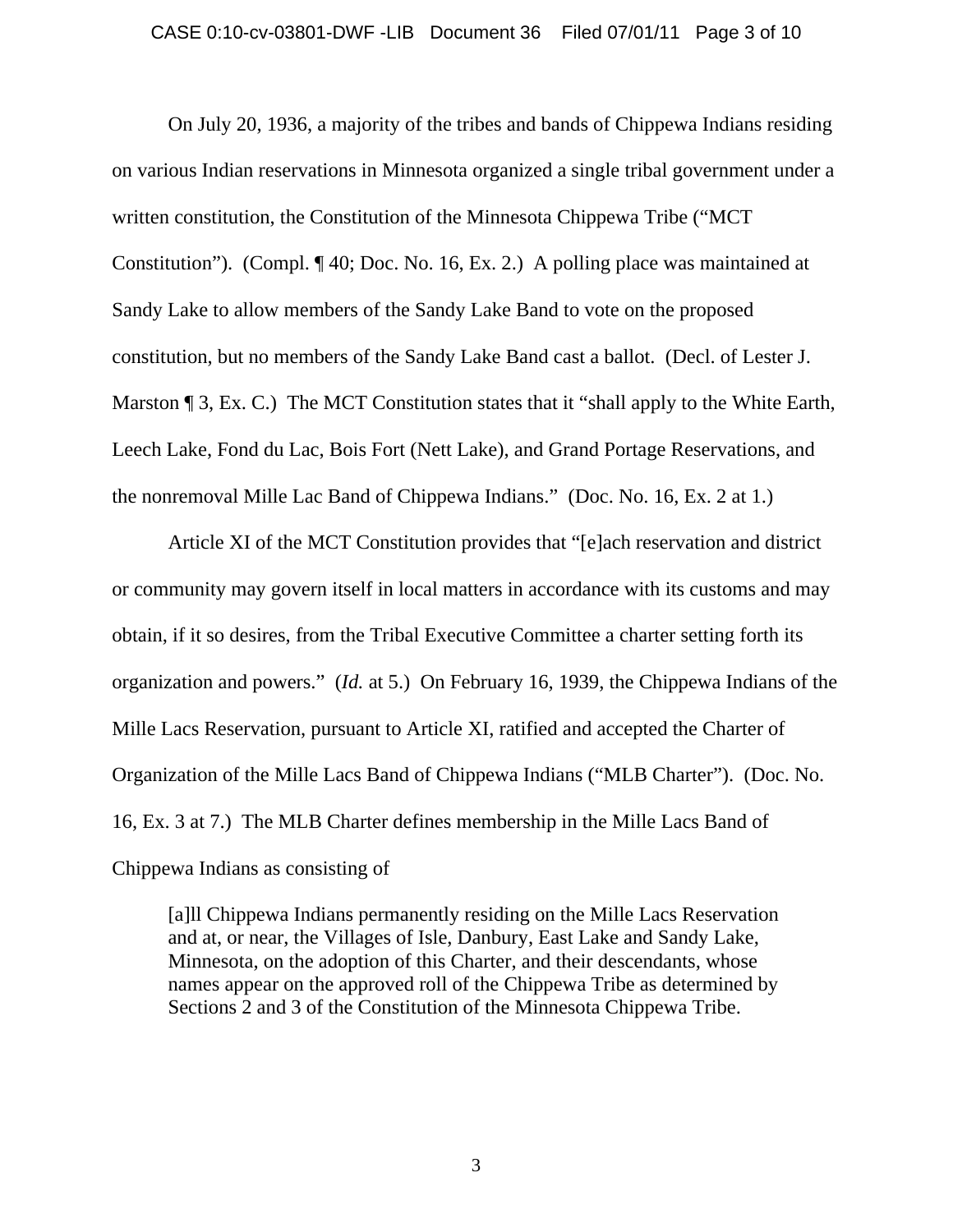#### CASE 0:10-cv-03801-DWF -LIB Document 36 Filed 07/01/11 Page 3 of 10

 On July 20, 1936, a majority of the tribes and bands of Chippewa Indians residing on various Indian reservations in Minnesota organized a single tribal government under a written constitution, the Constitution of the Minnesota Chippewa Tribe ("MCT Constitution"). (Compl. ¶ 40; Doc. No. 16, Ex. 2.) A polling place was maintained at Sandy Lake to allow members of the Sandy Lake Band to vote on the proposed constitution, but no members of the Sandy Lake Band cast a ballot. (Decl. of Lester J. Marston ¶ 3, Ex. C.) The MCT Constitution states that it "shall apply to the White Earth, Leech Lake, Fond du Lac, Bois Fort (Nett Lake), and Grand Portage Reservations, and the nonremoval Mille Lac Band of Chippewa Indians." (Doc. No. 16, Ex. 2 at 1.)

Article XI of the MCT Constitution provides that "[e]ach reservation and district or community may govern itself in local matters in accordance with its customs and may obtain, if it so desires, from the Tribal Executive Committee a charter setting forth its organization and powers." (*Id.* at 5.) On February 16, 1939, the Chippewa Indians of the Mille Lacs Reservation, pursuant to Article XI, ratified and accepted the Charter of Organization of the Mille Lacs Band of Chippewa Indians ("MLB Charter"). (Doc. No. 16, Ex. 3 at 7.) The MLB Charter defines membership in the Mille Lacs Band of Chippewa Indians as consisting of

[a]ll Chippewa Indians permanently residing on the Mille Lacs Reservation and at, or near, the Villages of Isle, Danbury, East Lake and Sandy Lake, Minnesota, on the adoption of this Charter, and their descendants, whose names appear on the approved roll of the Chippewa Tribe as determined by Sections 2 and 3 of the Constitution of the Minnesota Chippewa Tribe.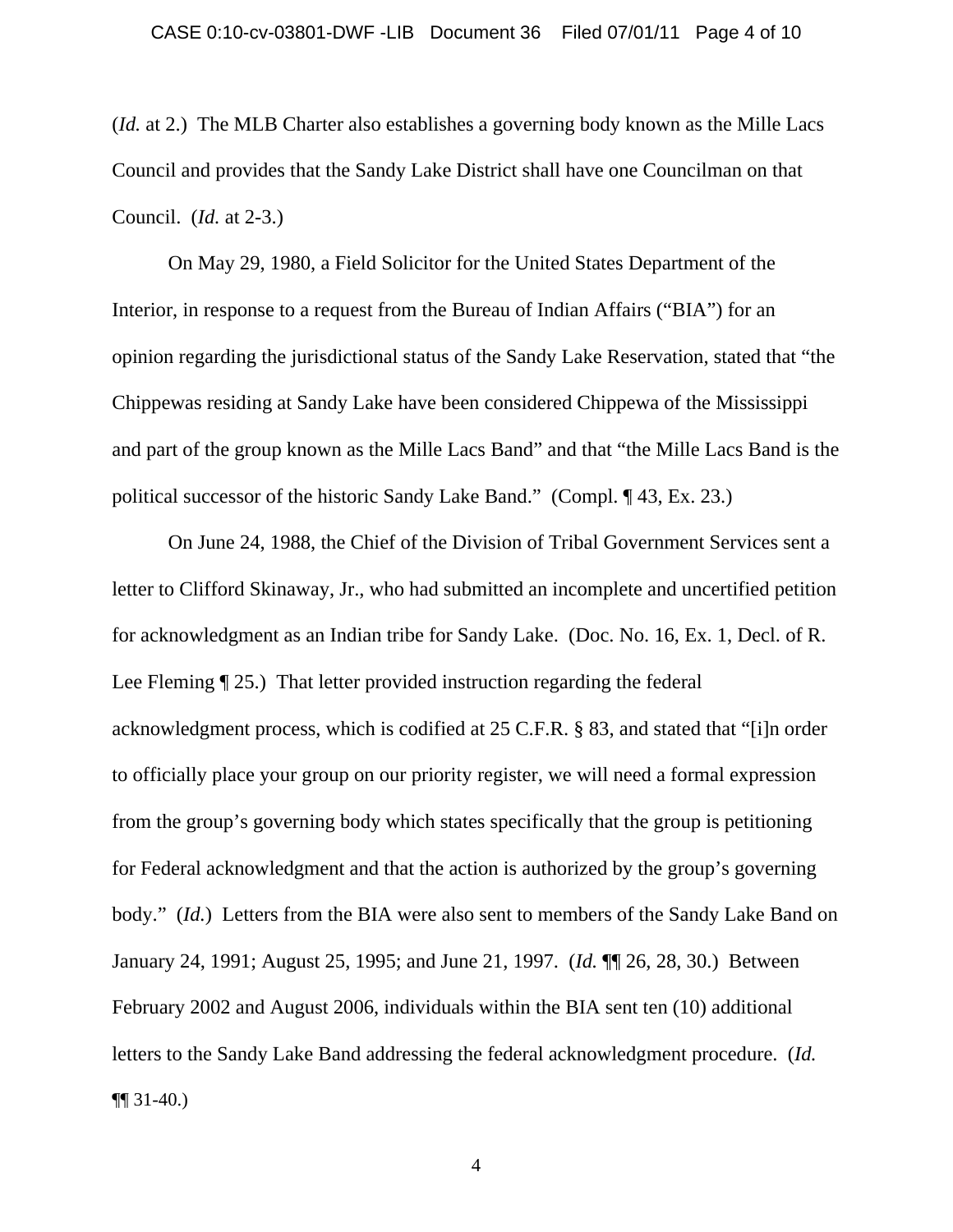(*Id.* at 2.) The MLB Charter also establishes a governing body known as the Mille Lacs Council and provides that the Sandy Lake District shall have one Councilman on that Council. (*Id.* at 2-3.)

 On May 29, 1980, a Field Solicitor for the United States Department of the Interior, in response to a request from the Bureau of Indian Affairs ("BIA") for an opinion regarding the jurisdictional status of the Sandy Lake Reservation, stated that "the Chippewas residing at Sandy Lake have been considered Chippewa of the Mississippi and part of the group known as the Mille Lacs Band" and that "the Mille Lacs Band is the political successor of the historic Sandy Lake Band." (Compl. ¶ 43, Ex. 23.)

 On June 24, 1988, the Chief of the Division of Tribal Government Services sent a letter to Clifford Skinaway, Jr., who had submitted an incomplete and uncertified petition for acknowledgment as an Indian tribe for Sandy Lake. (Doc. No. 16, Ex. 1, Decl. of R. Lee Fleming ¶ 25.) That letter provided instruction regarding the federal acknowledgment process, which is codified at 25 C.F.R. § 83, and stated that "[i]n order to officially place your group on our priority register, we will need a formal expression from the group's governing body which states specifically that the group is petitioning for Federal acknowledgment and that the action is authorized by the group's governing body." *(Id.)* Letters from the BIA were also sent to members of the Sandy Lake Band on January 24, 1991; August 25, 1995; and June 21, 1997. (*Id.* ¶¶ 26, 28, 30.) Between February 2002 and August 2006, individuals within the BIA sent ten (10) additional letters to the Sandy Lake Band addressing the federal acknowledgment procedure. (*Id.*  $\P$ [ 31-40.)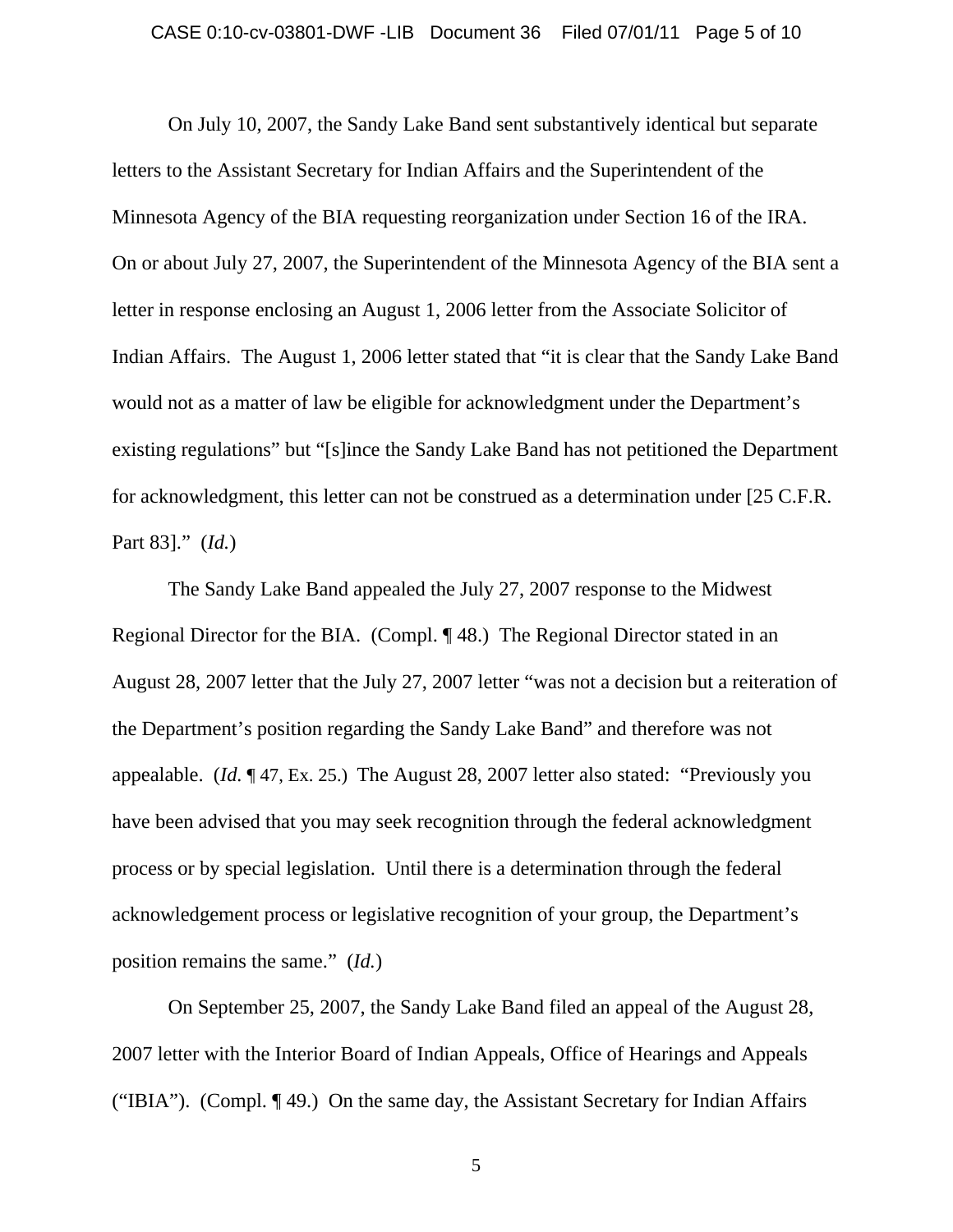#### CASE 0:10-cv-03801-DWF -LIB Document 36 Filed 07/01/11 Page 5 of 10

 On July 10, 2007, the Sandy Lake Band sent substantively identical but separate letters to the Assistant Secretary for Indian Affairs and the Superintendent of the Minnesota Agency of the BIA requesting reorganization under Section 16 of the IRA. On or about July 27, 2007, the Superintendent of the Minnesota Agency of the BIA sent a letter in response enclosing an August 1, 2006 letter from the Associate Solicitor of Indian Affairs. The August 1, 2006 letter stated that "it is clear that the Sandy Lake Band would not as a matter of law be eligible for acknowledgment under the Department's existing regulations" but "[s]ince the Sandy Lake Band has not petitioned the Department for acknowledgment, this letter can not be construed as a determination under [25 C.F.R. Part 83]." (*Id.*)

 The Sandy Lake Band appealed the July 27, 2007 response to the Midwest Regional Director for the BIA. (Compl. ¶ 48.) The Regional Director stated in an August 28, 2007 letter that the July 27, 2007 letter "was not a decision but a reiteration of the Department's position regarding the Sandy Lake Band" and therefore was not appealable. (*Id.* ¶ 47, Ex. 25.) The August 28, 2007 letter also stated: "Previously you have been advised that you may seek recognition through the federal acknowledgment process or by special legislation. Until there is a determination through the federal acknowledgement process or legislative recognition of your group, the Department's position remains the same." (*Id.*)

 On September 25, 2007, the Sandy Lake Band filed an appeal of the August 28, 2007 letter with the Interior Board of Indian Appeals, Office of Hearings and Appeals ("IBIA"). (Compl. ¶ 49.) On the same day, the Assistant Secretary for Indian Affairs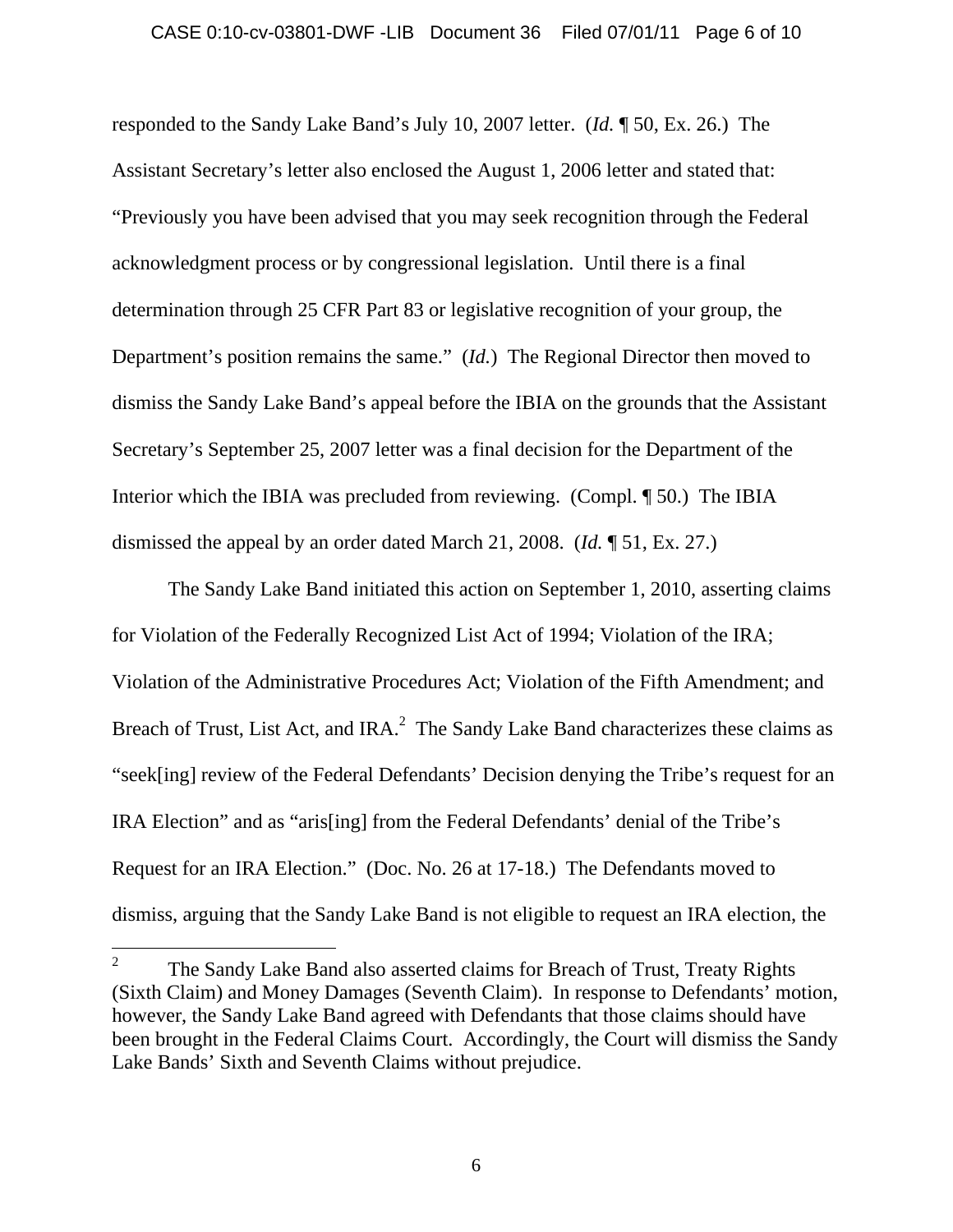responded to the Sandy Lake Band's July 10, 2007 letter. (*Id.* ¶ 50, Ex. 26.) The Assistant Secretary's letter also enclosed the August 1, 2006 letter and stated that: "Previously you have been advised that you may seek recognition through the Federal acknowledgment process or by congressional legislation. Until there is a final determination through 25 CFR Part 83 or legislative recognition of your group, the Department's position remains the same." (*Id.*) The Regional Director then moved to dismiss the Sandy Lake Band's appeal before the IBIA on the grounds that the Assistant Secretary's September 25, 2007 letter was a final decision for the Department of the Interior which the IBIA was precluded from reviewing. (Compl. ¶ 50.) The IBIA dismissed the appeal by an order dated March 21, 2008. (*Id.* ¶ 51, Ex. 27.)

 The Sandy Lake Band initiated this action on September 1, 2010, asserting claims for Violation of the Federally Recognized List Act of 1994; Violation of the IRA; Violation of the Administrative Procedures Act; Violation of the Fifth Amendment; and Breach of Trust, List Act, and IRA. $<sup>2</sup>$  The Sandy Lake Band characterizes these claims as</sup> "seek[ing] review of the Federal Defendants' Decision denying the Tribe's request for an IRA Election" and as "aris[ing] from the Federal Defendants' denial of the Tribe's Request for an IRA Election." (Doc. No. 26 at 17-18.) The Defendants moved to dismiss, arguing that the Sandy Lake Band is not eligible to request an IRA election, the

 $\overline{a}$ 

<sup>2</sup> The Sandy Lake Band also asserted claims for Breach of Trust, Treaty Rights (Sixth Claim) and Money Damages (Seventh Claim). In response to Defendants' motion, however, the Sandy Lake Band agreed with Defendants that those claims should have been brought in the Federal Claims Court. Accordingly, the Court will dismiss the Sandy Lake Bands' Sixth and Seventh Claims without prejudice.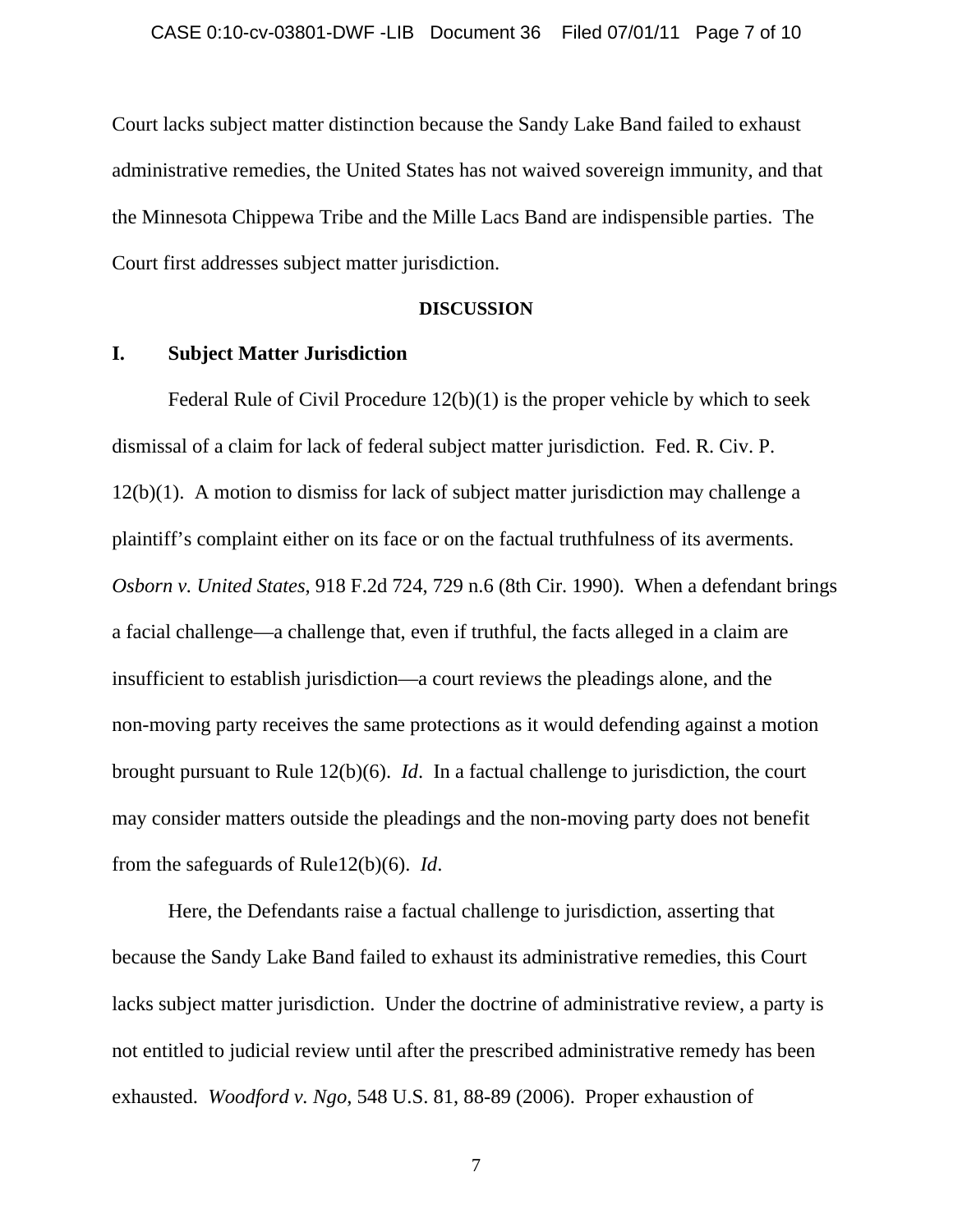Court lacks subject matter distinction because the Sandy Lake Band failed to exhaust administrative remedies, the United States has not waived sovereign immunity, and that the Minnesota Chippewa Tribe and the Mille Lacs Band are indispensible parties. The Court first addresses subject matter jurisdiction.

#### **DISCUSSION**

### **I. Subject Matter Jurisdiction**

Federal Rule of Civil Procedure 12(b)(1) is the proper vehicle by which to seek dismissal of a claim for lack of federal subject matter jurisdiction. Fed. R. Civ. P. 12(b)(1). A motion to dismiss for lack of subject matter jurisdiction may challenge a plaintiff's complaint either on its face or on the factual truthfulness of its averments. *Osborn v. United States*, 918 F.2d 724, 729 n.6 (8th Cir. 1990). When a defendant brings a facial challenge—a challenge that, even if truthful, the facts alleged in a claim are insufficient to establish jurisdiction—a court reviews the pleadings alone, and the non-moving party receives the same protections as it would defending against a motion brought pursuant to Rule 12(b)(6). *Id*. In a factual challenge to jurisdiction, the court may consider matters outside the pleadings and the non-moving party does not benefit from the safeguards of Rule12(b)(6). *Id*.

Here, the Defendants raise a factual challenge to jurisdiction, asserting that because the Sandy Lake Band failed to exhaust its administrative remedies, this Court lacks subject matter jurisdiction. Under the doctrine of administrative review, a party is not entitled to judicial review until after the prescribed administrative remedy has been exhausted. *Woodford v. Ngo*, 548 U.S. 81, 88-89 (2006). Proper exhaustion of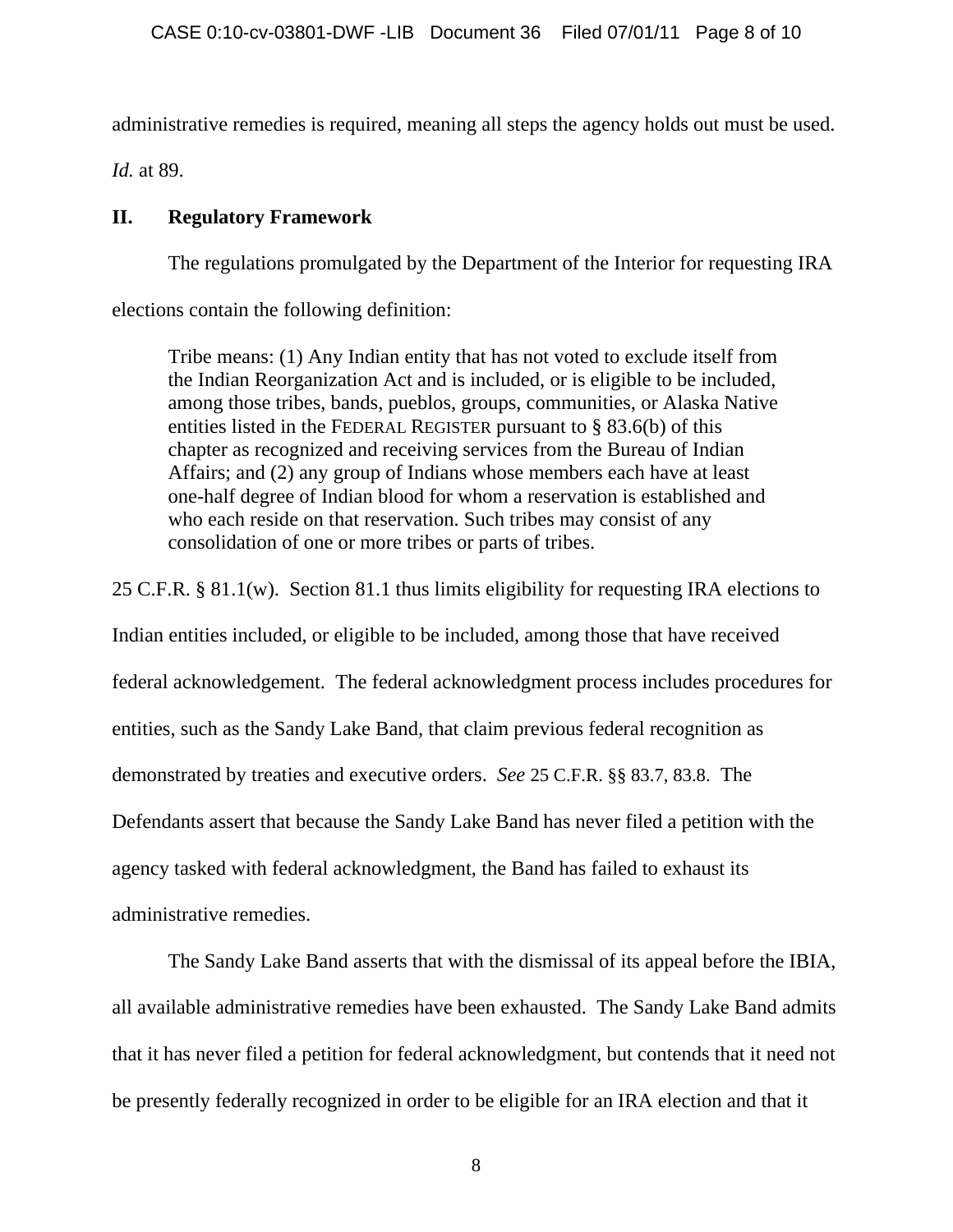administrative remedies is required, meaning all steps the agency holds out must be used.

*Id.* at 89.

# **II. Regulatory Framework**

The regulations promulgated by the Department of the Interior for requesting IRA

elections contain the following definition:

Tribe means: (1) Any Indian entity that has not voted to exclude itself from the Indian Reorganization Act and is included, or is eligible to be included, among those tribes, bands, pueblos, groups, communities, or Alaska Native entities listed in the FEDERAL REGISTER pursuant to § 83.6(b) of this chapter as recognized and receiving services from the Bureau of Indian Affairs; and (2) any group of Indians whose members each have at least one-half degree of Indian blood for whom a reservation is established and who each reside on that reservation. Such tribes may consist of any consolidation of one or more tribes or parts of tribes.

25 C.F.R. § 81.1(w). Section 81.1 thus limits eligibility for requesting IRA elections to

Indian entities included, or eligible to be included, among those that have received federal acknowledgement. The federal acknowledgment process includes procedures for entities, such as the Sandy Lake Band, that claim previous federal recognition as demonstrated by treaties and executive orders. *See* 25 C.F.R. §§ 83.7, 83.8. The Defendants assert that because the Sandy Lake Band has never filed a petition with the agency tasked with federal acknowledgment, the Band has failed to exhaust its administrative remedies.

The Sandy Lake Band asserts that with the dismissal of its appeal before the IBIA, all available administrative remedies have been exhausted. The Sandy Lake Band admits that it has never filed a petition for federal acknowledgment, but contends that it need not be presently federally recognized in order to be eligible for an IRA election and that it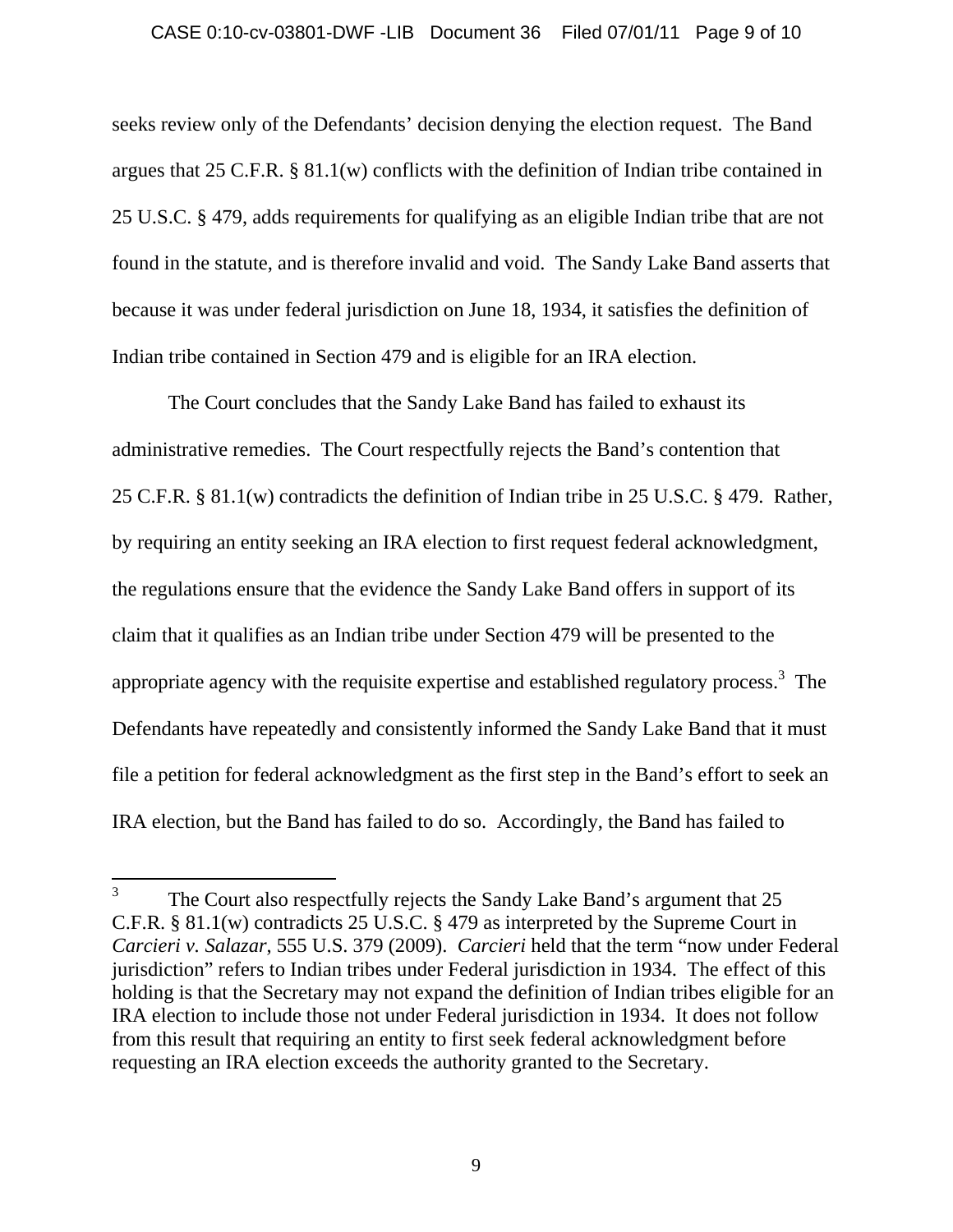#### CASE 0:10-cv-03801-DWF -LIB Document 36 Filed 07/01/11 Page 9 of 10

seeks review only of the Defendants' decision denying the election request. The Band argues that 25 C.F.R. § 81.1(w) conflicts with the definition of Indian tribe contained in 25 U.S.C. § 479, adds requirements for qualifying as an eligible Indian tribe that are not found in the statute, and is therefore invalid and void. The Sandy Lake Band asserts that because it was under federal jurisdiction on June 18, 1934, it satisfies the definition of Indian tribe contained in Section 479 and is eligible for an IRA election.

The Court concludes that the Sandy Lake Band has failed to exhaust its administrative remedies. The Court respectfully rejects the Band's contention that 25 C.F.R. § 81.1(w) contradicts the definition of Indian tribe in 25 U.S.C. § 479. Rather, by requiring an entity seeking an IRA election to first request federal acknowledgment, the regulations ensure that the evidence the Sandy Lake Band offers in support of its claim that it qualifies as an Indian tribe under Section 479 will be presented to the appropriate agency with the requisite expertise and established regulatory process.<sup>3</sup> The Defendants have repeatedly and consistently informed the Sandy Lake Band that it must file a petition for federal acknowledgment as the first step in the Band's effort to seek an IRA election, but the Band has failed to do so. Accordingly, the Band has failed to

 $\overline{a}$ 

<sup>3</sup> The Court also respectfully rejects the Sandy Lake Band's argument that 25 C.F.R. § 81.1(w) contradicts 25 U.S.C. § 479 as interpreted by the Supreme Court in *Carcieri v. Salazar*, 555 U.S. 379 (2009). *Carcieri* held that the term "now under Federal jurisdiction" refers to Indian tribes under Federal jurisdiction in 1934. The effect of this holding is that the Secretary may not expand the definition of Indian tribes eligible for an IRA election to include those not under Federal jurisdiction in 1934. It does not follow from this result that requiring an entity to first seek federal acknowledgment before requesting an IRA election exceeds the authority granted to the Secretary.